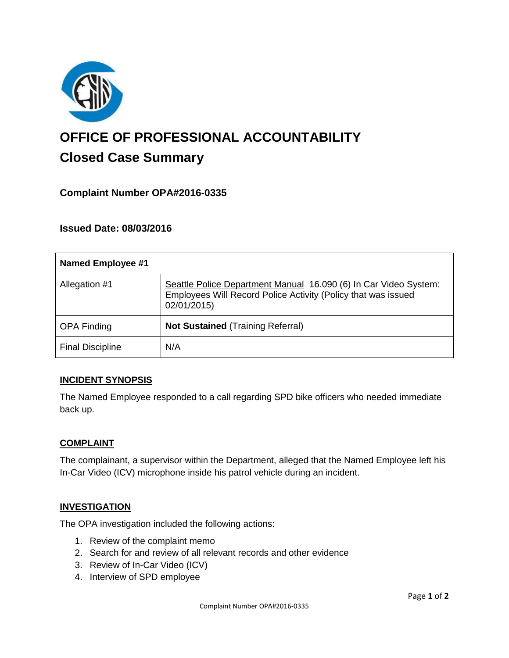

# **OFFICE OF PROFESSIONAL ACCOUNTABILITY Closed Case Summary**

## **Complaint Number OPA#2016-0335**

## **Issued Date: 08/03/2016**

| Named Employee #1       |                                                                                                                                                  |
|-------------------------|--------------------------------------------------------------------------------------------------------------------------------------------------|
| Allegation #1           | Seattle Police Department Manual 16.090 (6) In Car Video System:<br>Employees Will Record Police Activity (Policy that was issued<br>02/01/2015) |
| <b>OPA Finding</b>      | <b>Not Sustained (Training Referral)</b>                                                                                                         |
| <b>Final Discipline</b> | N/A                                                                                                                                              |

## **INCIDENT SYNOPSIS**

The Named Employee responded to a call regarding SPD bike officers who needed immediate back up.

#### **COMPLAINT**

The complainant, a supervisor within the Department, alleged that the Named Employee left his In-Car Video (ICV) microphone inside his patrol vehicle during an incident.

#### **INVESTIGATION**

The OPA investigation included the following actions:

- 1. Review of the complaint memo
- 2. Search for and review of all relevant records and other evidence
- 3. Review of In-Car Video (ICV)
- 4. Interview of SPD employee